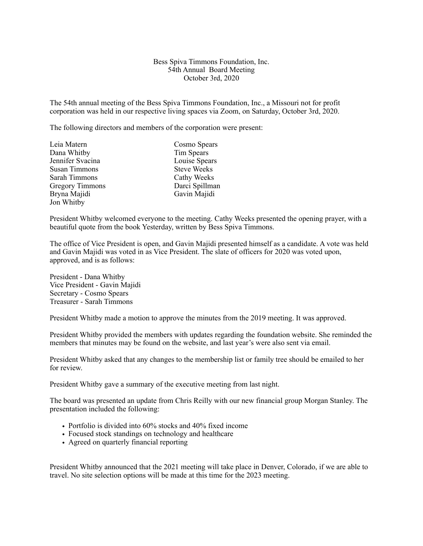## Bess Spiva Timmons Foundation, Inc. 54th Annual Board Meeting October 3rd, 2020

The 54th annual meeting of the Bess Spiva Timmons Foundation, Inc., a Missouri not for profit corporation was held in our respective living spaces via Zoom, on Saturday, October 3rd, 2020.

The following directors and members of the corporation were present:

| Leia Matern            | Cosmo Spears       |
|------------------------|--------------------|
| Dana Whitby            | Tim Spears         |
| Jennifer Svacina       | Louise Spears      |
| <b>Susan Timmons</b>   | <b>Steve Weeks</b> |
| Sarah Timmons          | Cathy Weeks        |
| <b>Gregory Timmons</b> | Darci Spillman     |
| Bryna Majidi           | Gavin Majidi       |
| Jon Whitby             |                    |

President Whitby welcomed everyone to the meeting. Cathy Weeks presented the opening prayer, with a beautiful quote from the book Yesterday, written by Bess Spiva Timmons.

The office of Vice President is open, and Gavin Majidi presented himself as a candidate. A vote was held and Gavin Majidi was voted in as Vice President. The slate of officers for 2020 was voted upon, approved, and is as follows:

President - Dana Whitby Vice President - Gavin Majidi Secretary - Cosmo Spears Treasurer - Sarah Timmons

President Whitby made a motion to approve the minutes from the 2019 meeting. It was approved.

President Whitby provided the members with updates regarding the foundation website. She reminded the members that minutes may be found on the website, and last year's were also sent via email.

President Whitby asked that any changes to the membership list or family tree should be emailed to her for review.

President Whitby gave a summary of the executive meeting from last night.

The board was presented an update from Chris Reilly with our new financial group Morgan Stanley. The presentation included the following:

- Portfolio is divided into 60% stocks and 40% fixed income
- Focused stock standings on technology and healthcare
- Agreed on quarterly financial reporting

President Whitby announced that the 2021 meeting will take place in Denver, Colorado, if we are able to travel. No site selection options will be made at this time for the 2023 meeting.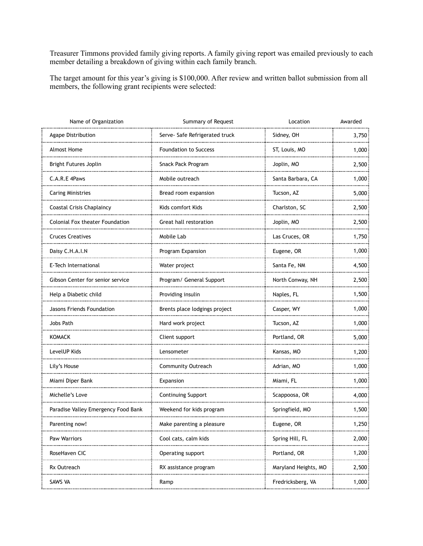Treasurer Timmons provided family giving reports. A family giving report was emailed previously to each member detailing a breakdown of giving within each family branch.

The target amount for this year's giving is \$100,000. After review and written ballot submission from all members, the following grant recipients were selected:

| Name of Organization                    | Summary of Request             | Location              | Awarded |
|-----------------------------------------|--------------------------------|-----------------------|---------|
| Agape Distribution                      | Serve- Safe Refrigerated truck | Sidney, OH            | 3,750   |
| Almost Home                             | <b>Foundation to Success</b>   | ST, Louis, MO         | 1,000   |
| <b>Bright Futures Joplin</b>            | Snack Pack Program             | Joplin, MO            | 2,500   |
| C.A.R.E 4Paws                           | Mobile outreach                | Santa Barbara, CA     | 1,000   |
| <b>Caring Ministries</b>                | Bread room expansion           | Tucson, AZ            | 5,000   |
| <b>Coastal Crisis Chaplaincy</b>        | Kids comfort Kids              | Charlston, SC         | 2,500   |
| Colonial Fox theater Foundation         | Great hall restoration<br>     | Joplin, MO            | 2,500   |
| <b>Cruces Creatives</b>                 | Mobile Lab                     | Las Cruces, OR        | 1,750   |
| Daisy C.H.A.I.N                         | Program Expansion              | Eugene, OR            | 1,000   |
| E-Tech International                    | Water project                  | Santa Fe, NM          | 4,500   |
| <b>Gibson Center for senior service</b> | Program/ General Support       | North Conway, NH<br>. | 2,500   |
| Help a Diabetic child                   | Providing insulin              | Naples, FL            | 1,500   |
| Jasons Friends Foundation               | Brents place lodgings project  | Casper, WY            | 1,000   |
| Jobs Path                               | Hard work project              | Tucson, AZ            | 1,000   |
| <b>KOMACK</b>                           | Client support                 | Portland, OR          | 5,000   |
| LevelUP Kids                            | Lensometer                     | Kansas, MO            | 1,200   |
| Lily's House                            | <b>Community Outreach</b>      | Adrian, MO            | 1,000   |
| Miami Diper Bank                        | Expansion                      | Miami, FL             | 1,000   |
| Michelle's Love                         | <b>Continuing Support</b>      | Scappoosa, OR         | 4,000   |
| Paradise Valley Emergency Food Bank     | Weekend for kids program       | Springfield, MO       | 1,500   |
| Parenting now!                          | Make parenting a pleasure      | Eugene, OR            | 1,250   |
| Paw Warriors                            | Cool cats, calm kids           | Spring Hill, FL       | 2,000   |
| RoseHaven CIC                           | Operating support              | Portland, OR          | 1,200   |
| Rx Outreach                             | RX assistance program          | Maryland Heights, MO  | 2,500   |
| SAWS VA                                 | Ramp                           | Fredricksberg, VA     | 1,000   |
|                                         |                                |                       |         |